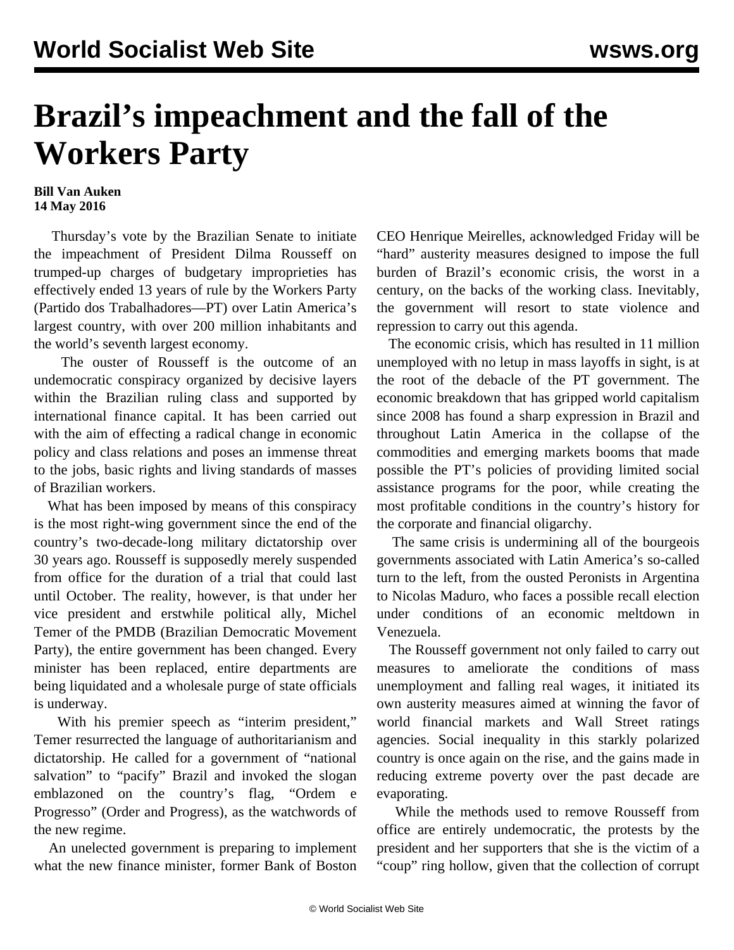## **Brazil's impeachment and the fall of the Workers Party**

## **Bill Van Auken 14 May 2016**

 Thursday's vote by the Brazilian Senate to initiate the impeachment of President Dilma Rousseff on trumped-up charges of budgetary improprieties has effectively ended 13 years of rule by the Workers Party (Partido dos Trabalhadores—PT) over Latin America's largest country, with over 200 million inhabitants and the world's seventh largest economy.

 The ouster of Rousseff is the outcome of an undemocratic conspiracy organized by decisive layers within the Brazilian ruling class and supported by international finance capital. It has been carried out with the aim of effecting a radical change in economic policy and class relations and poses an immense threat to the jobs, basic rights and living standards of masses of Brazilian workers.

 What has been imposed by means of this conspiracy is the most right-wing government since the end of the country's two-decade-long military dictatorship over 30 years ago. Rousseff is supposedly merely suspended from office for the duration of a trial that could last until October. The reality, however, is that under her vice president and erstwhile political ally, Michel Temer of the PMDB (Brazilian Democratic Movement Party), the entire government has been changed. Every minister has been replaced, entire departments are being liquidated and a wholesale purge of state officials is underway.

With his premier speech as "interim president," Temer resurrected the language of authoritarianism and dictatorship. He called for a government of "national salvation" to "pacify" Brazil and invoked the slogan emblazoned on the country's flag, "Ordem e Progresso" (Order and Progress), as the watchwords of the new regime.

 An unelected government is preparing to implement what the new finance minister, former Bank of Boston CEO Henrique Meirelles, acknowledged Friday will be "hard" austerity measures designed to impose the full burden of Brazil's economic crisis, the worst in a century, on the backs of the working class. Inevitably, the government will resort to state violence and repression to carry out this agenda.

 The economic crisis, which has resulted in 11 million unemployed with no letup in mass layoffs in sight, is at the root of the debacle of the PT government. The economic breakdown that has gripped world capitalism since 2008 has found a sharp expression in Brazil and throughout Latin America in the collapse of the commodities and emerging markets booms that made possible the PT's policies of providing limited social assistance programs for the poor, while creating the most profitable conditions in the country's history for the corporate and financial oligarchy.

 The same crisis is undermining all of the bourgeois governments associated with Latin America's so-called turn to the left, from the ousted Peronists in Argentina to Nicolas Maduro, who faces a possible recall election under conditions of an economic meltdown in Venezuela.

 The Rousseff government not only failed to carry out measures to ameliorate the conditions of mass unemployment and falling real wages, it initiated its own austerity measures aimed at winning the favor of world financial markets and Wall Street ratings agencies. Social inequality in this starkly polarized country is once again on the rise, and the gains made in reducing extreme poverty over the past decade are evaporating.

 While the methods used to remove Rousseff from office are entirely undemocratic, the protests by the president and her supporters that she is the victim of a "coup" ring hollow, given that the collection of corrupt